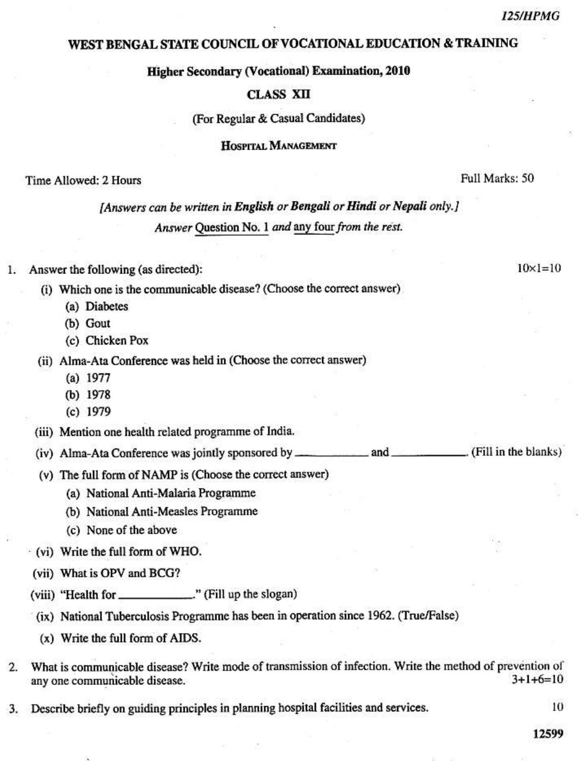$10 \times 1 = 10$ 

## WEST BENGAL STATE COUNCIL OF VOCATIONAL EDUCATION & TRAINING

Higher Secondary (Vocational) Examination, 2010

#### **CLASS XII**

(For Regular & Casual Candidates)

HOSPITAL MANAGEMENT

Time Allowed: 2 Hours

Full Marks: 50

# [Answers can be written in English or Bengali or Hindi or Nepali only.] Answer Question No. 1 and any four from the rest.

1. Answer the following (as directed):

- (i) Which one is the communicable disease? (Choose the correct answer)
	- (a) Diabetes
	- (b) Gout
	- (c) Chicken Pox
- (ii) Alma-Ata Conference was held in (Choose the correct answer)
	- $(a) 1977$
	- (b) 1978
	- $(c)$  1979

(iii) Mention one health related programme of India.

(iv) Alma-Ata Conference was jointly sponsored by \_\_\_\_\_\_\_\_\_\_\_\_\_\_\_\_\_\_\_\_\_\_\_\_\_\_\_\_\_\_\_\_. (Fill in the blanks)

- (v) The full form of NAMP is (Choose the correct answer)
	- (a) National Anti-Malaria Programme
	- (b) National Anti-Measles Programme
	- (c) None of the above
- (vi) Write the full form of WHO.
- (vii) What is OPV and BCG?
- 
- (ix) National Tuberculosis Programme has been in operation since 1962. (True/False)
- $(x)$  Write the full form of AIDS.
- What is communicable disease? Write mode of transmission of infection. Write the method of prevention of  $2.$  $3+1+6=10$ any one communicable disease.
- Describe briefly on guiding principles in planning hospital facilities and services. 3.

10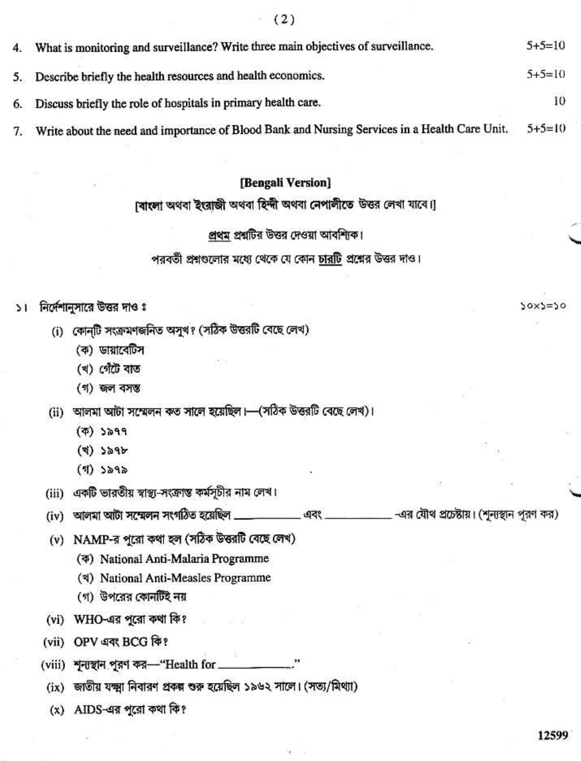| 4. What is monitoring and surveillance? Write three main objectives of surveillance.             | $5+5=10$     |
|--------------------------------------------------------------------------------------------------|--------------|
| 5. Describe briefly the health resources and health economics.                                   | $5 + 5 = 10$ |
| 6. Discuss briefly the role of hospitals in primary health care.                                 | 10           |
| 7. Write about the need and importance of Blood Bank and Nursing Services in a Health Care Unit. | $5+5=10$     |

#### [Bengali Version]

# [বাংলা অথবা ইংরাজী অথবা হিন্দী অথবা নেপালীতে উত্তর লেখা যাবে।]

#### প্রথম প্রশ্নটির উত্তর দেওয়া আবশ্যিক।

পরবর্তী প্রশ্নগুলোর মধ্যে থেকে যে কোন <u>চারটি</u> প্রশ্নের উত্তর দাও।

## ১। নির্দেশানুসারে উত্তর দাও ঃ

- (i) কোন্টি সংক্ৰমণজনিত অসুখ? (সঠিক উত্তরটি বেছে লেখ)
	- (ক) ডায়াবেটিস
	- (খ) গেঁটে বাত
	- (গ) জল বসম্ভ
- (ii) আলমা আটা সম্মেলন কত সালে হয়েছিল।—(সঠিক উত্তরটি বেছে লেখ)।
	- $($  $\overline{$ phi}) ১৯৭৭
	- $(4)$   $384$
	- $(9)$  ১৯৭৯
- (iii) একটি ভারতীয় স্বাস্থ্য-সংক্রান্ত কর্মসূচীর নাম লেখ।
- \_ -এর যৌথ প্রচেষ্টায়। (শূন্যস্থান পূরণ কর)
- (v) NAMP-র পূরো কথা হল (সঠিক উত্তরটি বেছে লেখ)
	- ( $\Phi$ ) National Anti-Malaria Programme
	- (খ) National Anti-Measles Programme
	- (গ) উপরের কোনটিই নয়
- (vi) WHO-এর পুরো কথা কি?
- (vii) OPV এবং BCG কি?
- (viii) শূন্যস্থান পুরণ কর-"Health for \_
	- (ix) জাতীয় যক্ষ্মা নিবারণ প্রকল্প শুরু হয়েছিল ১৯৬২ সালে। (সত্য/মিথ্যা)
	- (x) AIDS-এর পুরো কথা কি?

 $50x5=50$